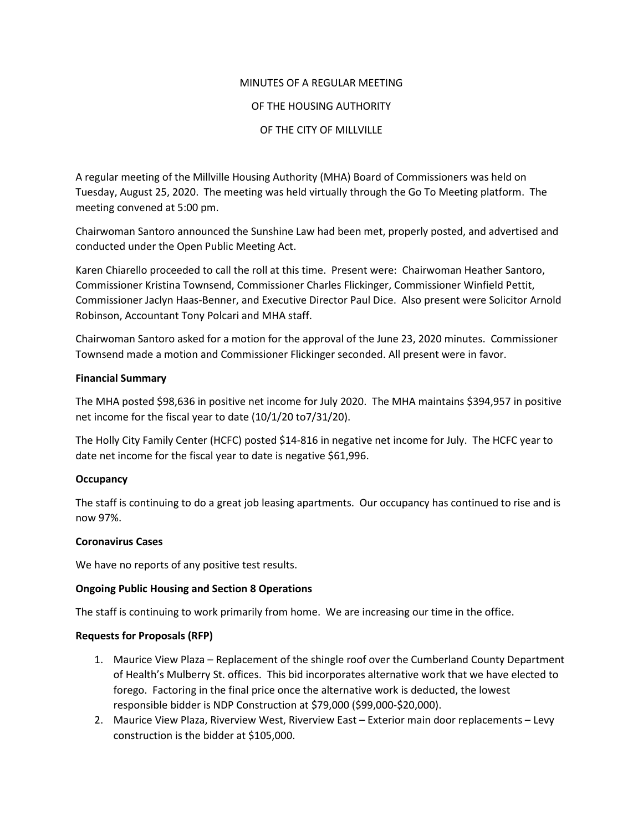# MINUTES OF A REGULAR MEETING

# OF THE HOUSING AUTHORITY

## OF THE CITY OF MILLVILLE

A regular meeting of the Millville Housing Authority (MHA) Board of Commissioners was held on Tuesday, August 25, 2020. The meeting was held virtually through the Go To Meeting platform. The meeting convened at 5:00 pm.

Chairwoman Santoro announced the Sunshine Law had been met, properly posted, and advertised and conducted under the Open Public Meeting Act.

Karen Chiarello proceeded to call the roll at this time. Present were: Chairwoman Heather Santoro, Commissioner Kristina Townsend, Commissioner Charles Flickinger, Commissioner Winfield Pettit, Commissioner Jaclyn Haas-Benner, and Executive Director Paul Dice. Also present were Solicitor Arnold Robinson, Accountant Tony Polcari and MHA staff.

Chairwoman Santoro asked for a motion for the approval of the June 23, 2020 minutes. Commissioner Townsend made a motion and Commissioner Flickinger seconded. All present were in favor.

### **Financial Summary**

The MHA posted \$98,636 in positive net income for July 2020. The MHA maintains \$394,957 in positive net income for the fiscal year to date (10/1/20 to7/31/20).

The Holly City Family Center (HCFC) posted \$14-816 in negative net income for July. The HCFC year to date net income for the fiscal year to date is negative \$61,996.

# **Occupancy**

The staff is continuing to do a great job leasing apartments. Our occupancy has continued to rise and is now 97%.

#### **Coronavirus Cases**

We have no reports of any positive test results.

# **Ongoing Public Housing and Section 8 Operations**

The staff is continuing to work primarily from home. We are increasing our time in the office.

#### **Requests for Proposals (RFP)**

- 1. Maurice View Plaza Replacement of the shingle roof over the Cumberland County Department of Health's Mulberry St. offices. This bid incorporates alternative work that we have elected to forego. Factoring in the final price once the alternative work is deducted, the lowest responsible bidder is NDP Construction at \$79,000 (\$99,000-\$20,000).
- 2. Maurice View Plaza, Riverview West, Riverview East Exterior main door replacements Levy construction is the bidder at \$105,000.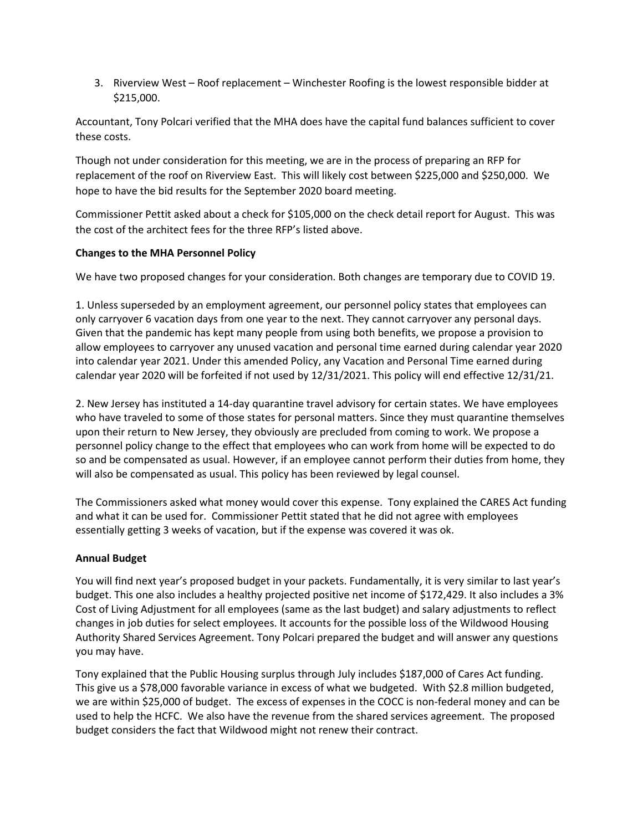3. Riverview West – Roof replacement – Winchester Roofing is the lowest responsible bidder at \$215,000.

Accountant, Tony Polcari verified that the MHA does have the capital fund balances sufficient to cover these costs.

Though not under consideration for this meeting, we are in the process of preparing an RFP for replacement of the roof on Riverview East. This will likely cost between \$225,000 and \$250,000. We hope to have the bid results for the September 2020 board meeting.

Commissioner Pettit asked about a check for \$105,000 on the check detail report for August. This was the cost of the architect fees for the three RFP's listed above.

### **Changes to the MHA Personnel Policy**

We have two proposed changes for your consideration. Both changes are temporary due to COVID 19.

1. Unless superseded by an employment agreement, our personnel policy states that employees can only carryover 6 vacation days from one year to the next. They cannot carryover any personal days. Given that the pandemic has kept many people from using both benefits, we propose a provision to allow employees to carryover any unused vacation and personal time earned during calendar year 2020 into calendar year 2021. Under this amended Policy, any Vacation and Personal Time earned during calendar year 2020 will be forfeited if not used by 12/31/2021. This policy will end effective 12/31/21.

2. New Jersey has instituted a 14-day quarantine travel advisory for certain states. We have employees who have traveled to some of those states for personal matters. Since they must quarantine themselves upon their return to New Jersey, they obviously are precluded from coming to work. We propose a personnel policy change to the effect that employees who can work from home will be expected to do so and be compensated as usual. However, if an employee cannot perform their duties from home, they will also be compensated as usual. This policy has been reviewed by legal counsel.

The Commissioners asked what money would cover this expense. Tony explained the CARES Act funding and what it can be used for. Commissioner Pettit stated that he did not agree with employees essentially getting 3 weeks of vacation, but if the expense was covered it was ok.

# **Annual Budget**

You will find next year's proposed budget in your packets. Fundamentally, it is very similar to last year's budget. This one also includes a healthy projected positive net income of \$172,429. It also includes a 3% Cost of Living Adjustment for all employees (same as the last budget) and salary adjustments to reflect changes in job duties for select employees. It accounts for the possible loss of the Wildwood Housing Authority Shared Services Agreement. Tony Polcari prepared the budget and will answer any questions you may have.

Tony explained that the Public Housing surplus through July includes \$187,000 of Cares Act funding. This give us a \$78,000 favorable variance in excess of what we budgeted. With \$2.8 million budgeted, we are within \$25,000 of budget. The excess of expenses in the COCC is non-federal money and can be used to help the HCFC. We also have the revenue from the shared services agreement. The proposed budget considers the fact that Wildwood might not renew their contract.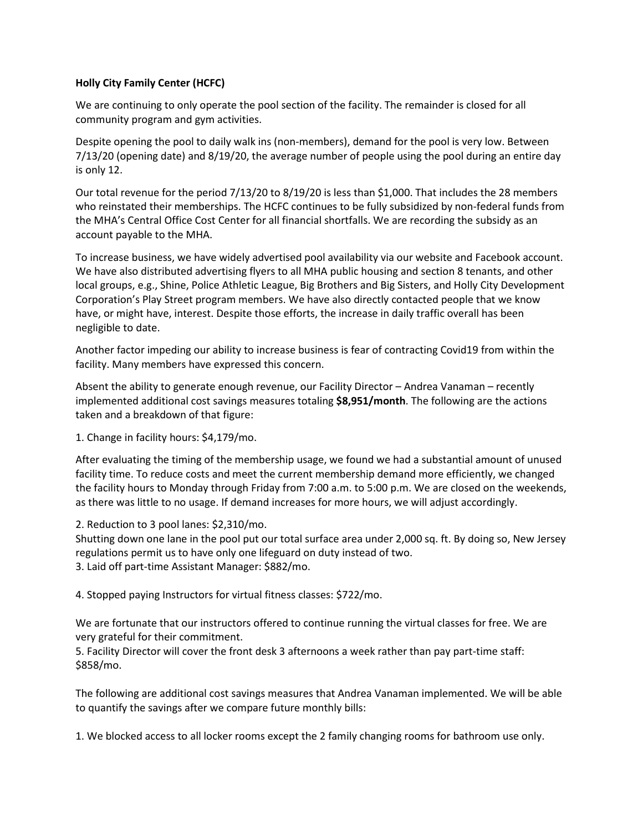#### **Holly City Family Center (HCFC)**

We are continuing to only operate the pool section of the facility. The remainder is closed for all community program and gym activities.

Despite opening the pool to daily walk ins (non-members), demand for the pool is very low. Between 7/13/20 (opening date) and 8/19/20, the average number of people using the pool during an entire day is only 12.

Our total revenue for the period 7/13/20 to 8/19/20 is less than \$1,000. That includes the 28 members who reinstated their memberships. The HCFC continues to be fully subsidized by non-federal funds from the MHA's Central Office Cost Center for all financial shortfalls. We are recording the subsidy as an account payable to the MHA.

To increase business, we have widely advertised pool availability via our website and Facebook account. We have also distributed advertising flyers to all MHA public housing and section 8 tenants, and other local groups, e.g., Shine, Police Athletic League, Big Brothers and Big Sisters, and Holly City Development Corporation's Play Street program members. We have also directly contacted people that we know have, or might have, interest. Despite those efforts, the increase in daily traffic overall has been negligible to date.

Another factor impeding our ability to increase business is fear of contracting Covid19 from within the facility. Many members have expressed this concern.

Absent the ability to generate enough revenue, our Facility Director – Andrea Vanaman – recently implemented additional cost savings measures totaling **\$8,951/month**. The following are the actions taken and a breakdown of that figure:

1. Change in facility hours: \$4,179/mo.

After evaluating the timing of the membership usage, we found we had a substantial amount of unused facility time. To reduce costs and meet the current membership demand more efficiently, we changed the facility hours to Monday through Friday from 7:00 a.m. to 5:00 p.m. We are closed on the weekends, as there was little to no usage. If demand increases for more hours, we will adjust accordingly.

2. Reduction to 3 pool lanes: \$2,310/mo.

Shutting down one lane in the pool put our total surface area under 2,000 sq. ft. By doing so, New Jersey regulations permit us to have only one lifeguard on duty instead of two. 3. Laid off part-time Assistant Manager: \$882/mo.

4. Stopped paying Instructors for virtual fitness classes: \$722/mo.

We are fortunate that our instructors offered to continue running the virtual classes for free. We are very grateful for their commitment.

5. Facility Director will cover the front desk 3 afternoons a week rather than pay part-time staff: \$858/mo.

The following are additional cost savings measures that Andrea Vanaman implemented. We will be able to quantify the savings after we compare future monthly bills:

1. We blocked access to all locker rooms except the 2 family changing rooms for bathroom use only.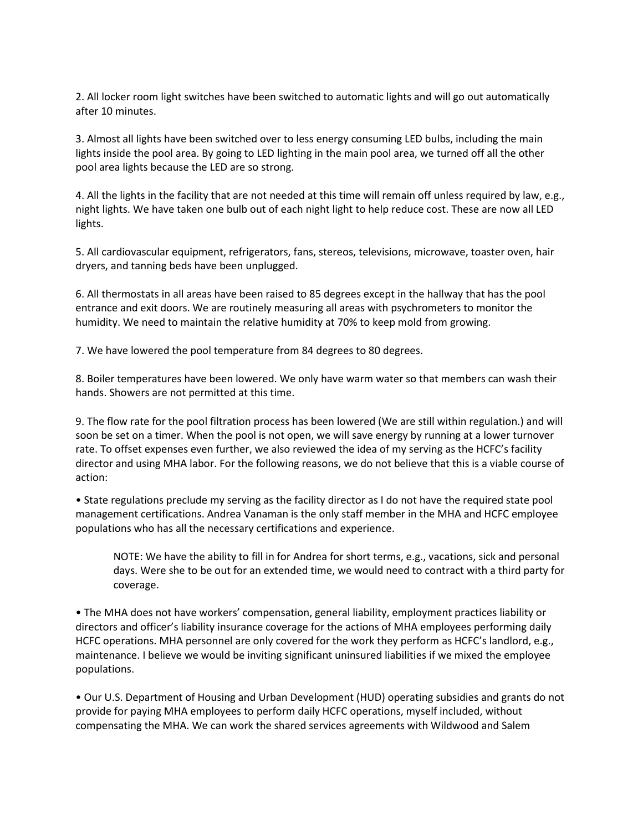2. All locker room light switches have been switched to automatic lights and will go out automatically after 10 minutes.

3. Almost all lights have been switched over to less energy consuming LED bulbs, including the main lights inside the pool area. By going to LED lighting in the main pool area, we turned off all the other pool area lights because the LED are so strong.

4. All the lights in the facility that are not needed at this time will remain off unless required by law, e.g., night lights. We have taken one bulb out of each night light to help reduce cost. These are now all LED lights.

5. All cardiovascular equipment, refrigerators, fans, stereos, televisions, microwave, toaster oven, hair dryers, and tanning beds have been unplugged.

6. All thermostats in all areas have been raised to 85 degrees except in the hallway that has the pool entrance and exit doors. We are routinely measuring all areas with psychrometers to monitor the humidity. We need to maintain the relative humidity at 70% to keep mold from growing.

7. We have lowered the pool temperature from 84 degrees to 80 degrees.

8. Boiler temperatures have been lowered. We only have warm water so that members can wash their hands. Showers are not permitted at this time.

9. The flow rate for the pool filtration process has been lowered (We are still within regulation.) and will soon be set on a timer. When the pool is not open, we will save energy by running at a lower turnover rate. To offset expenses even further, we also reviewed the idea of my serving as the HCFC's facility director and using MHA labor. For the following reasons, we do not believe that this is a viable course of action:

• State regulations preclude my serving as the facility director as I do not have the required state pool management certifications. Andrea Vanaman is the only staff member in the MHA and HCFC employee populations who has all the necessary certifications and experience.

NOTE: We have the ability to fill in for Andrea for short terms, e.g., vacations, sick and personal days. Were she to be out for an extended time, we would need to contract with a third party for coverage.

• The MHA does not have workers' compensation, general liability, employment practices liability or directors and officer's liability insurance coverage for the actions of MHA employees performing daily HCFC operations. MHA personnel are only covered for the work they perform as HCFC's landlord, e.g., maintenance. I believe we would be inviting significant uninsured liabilities if we mixed the employee populations.

• Our U.S. Department of Housing and Urban Development (HUD) operating subsidies and grants do not provide for paying MHA employees to perform daily HCFC operations, myself included, without compensating the MHA. We can work the shared services agreements with Wildwood and Salem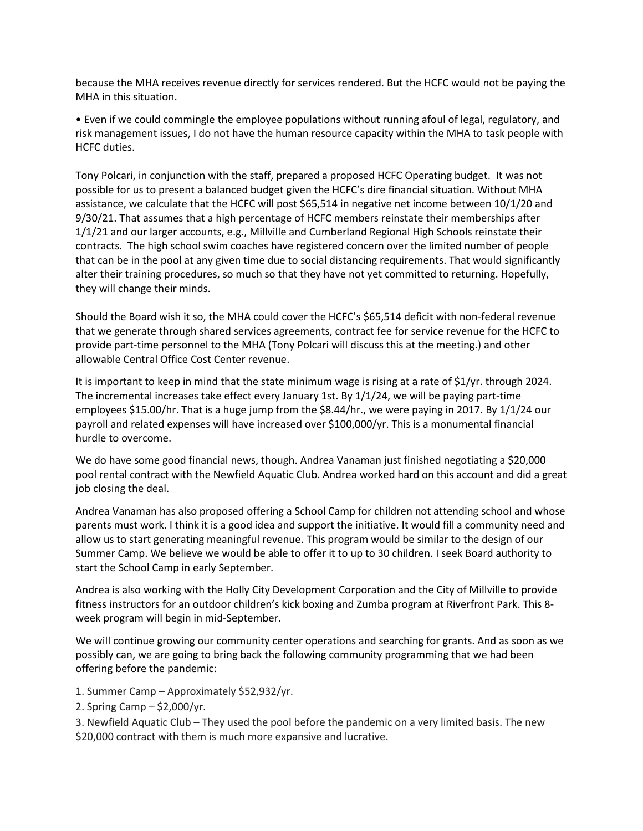because the MHA receives revenue directly for services rendered. But the HCFC would not be paying the MHA in this situation.

• Even if we could commingle the employee populations without running afoul of legal, regulatory, and risk management issues, I do not have the human resource capacity within the MHA to task people with HCFC duties.

Tony Polcari, in conjunction with the staff, prepared a proposed HCFC Operating budget. It was not possible for us to present a balanced budget given the HCFC's dire financial situation. Without MHA assistance, we calculate that the HCFC will post \$65,514 in negative net income between 10/1/20 and 9/30/21. That assumes that a high percentage of HCFC members reinstate their memberships after 1/1/21 and our larger accounts, e.g., Millville and Cumberland Regional High Schools reinstate their contracts. The high school swim coaches have registered concern over the limited number of people that can be in the pool at any given time due to social distancing requirements. That would significantly alter their training procedures, so much so that they have not yet committed to returning. Hopefully, they will change their minds.

Should the Board wish it so, the MHA could cover the HCFC's \$65,514 deficit with non-federal revenue that we generate through shared services agreements, contract fee for service revenue for the HCFC to provide part-time personnel to the MHA (Tony Polcari will discuss this at the meeting.) and other allowable Central Office Cost Center revenue.

It is important to keep in mind that the state minimum wage is rising at a rate of \$1/yr. through 2024. The incremental increases take effect every January 1st. By 1/1/24, we will be paying part-time employees \$15.00/hr. That is a huge jump from the \$8.44/hr., we were paying in 2017. By 1/1/24 our payroll and related expenses will have increased over \$100,000/yr. This is a monumental financial hurdle to overcome.

We do have some good financial news, though. Andrea Vanaman just finished negotiating a \$20,000 pool rental contract with the Newfield Aquatic Club. Andrea worked hard on this account and did a great job closing the deal.

Andrea Vanaman has also proposed offering a School Camp for children not attending school and whose parents must work. I think it is a good idea and support the initiative. It would fill a community need and allow us to start generating meaningful revenue. This program would be similar to the design of our Summer Camp. We believe we would be able to offer it to up to 30 children. I seek Board authority to start the School Camp in early September.

Andrea is also working with the Holly City Development Corporation and the City of Millville to provide fitness instructors for an outdoor children's kick boxing and Zumba program at Riverfront Park. This 8 week program will begin in mid-September.

We will continue growing our community center operations and searching for grants. And as soon as we possibly can, we are going to bring back the following community programming that we had been offering before the pandemic:

- 1. Summer Camp Approximately \$52,932/yr.
- 2. Spring Camp \$2,000/yr.

3. Newfield Aquatic Club – They used the pool before the pandemic on a very limited basis. The new \$20,000 contract with them is much more expansive and lucrative.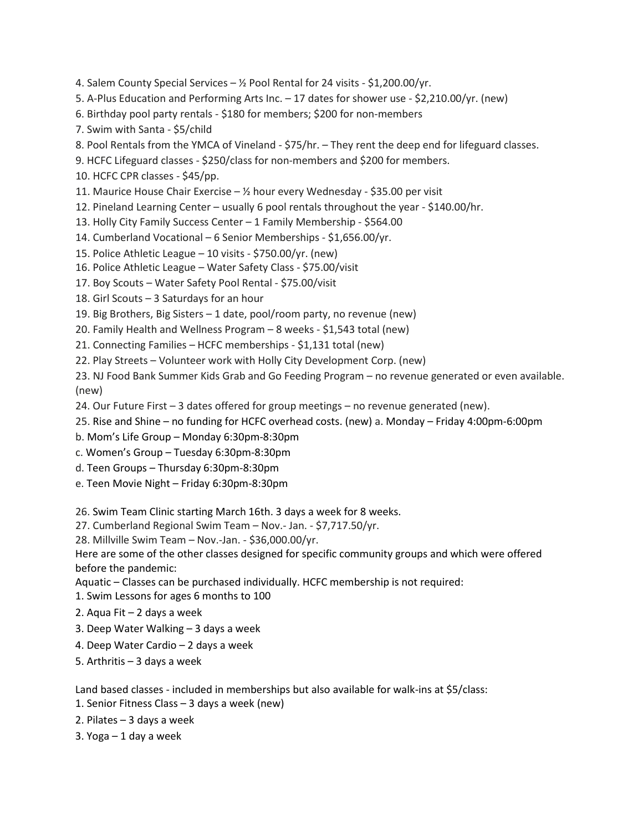- 4. Salem County Special Services  $\frac{1}{2}$  Pool Rental for 24 visits \$1,200.00/yr.
- 5. A-Plus Education and Performing Arts Inc. 17 dates for shower use \$2,210.00/yr. (new)
- 6. Birthday pool party rentals \$180 for members; \$200 for non-members
- 7. Swim with Santa \$5/child
- 8. Pool Rentals from the YMCA of Vineland \$75/hr. They rent the deep end for lifeguard classes.
- 9. HCFC Lifeguard classes \$250/class for non-members and \$200 for members.
- 10. HCFC CPR classes \$45/pp.
- 11. Maurice House Chair Exercise ½ hour every Wednesday \$35.00 per visit
- 12. Pineland Learning Center usually 6 pool rentals throughout the year \$140.00/hr.
- 13. Holly City Family Success Center 1 Family Membership \$564.00
- 14. Cumberland Vocational 6 Senior Memberships \$1,656.00/yr.
- 15. Police Athletic League 10 visits \$750.00/yr. (new)
- 16. Police Athletic League Water Safety Class \$75.00/visit
- 17. Boy Scouts Water Safety Pool Rental \$75.00/visit
- 18. Girl Scouts 3 Saturdays for an hour
- 19. Big Brothers, Big Sisters 1 date, pool/room party, no revenue (new)
- 20. Family Health and Wellness Program 8 weeks \$1,543 total (new)
- 21. Connecting Families HCFC memberships \$1,131 total (new)
- 22. Play Streets Volunteer work with Holly City Development Corp. (new)

23. NJ Food Bank Summer Kids Grab and Go Feeding Program – no revenue generated or even available. (new)

- 24. Our Future First 3 dates offered for group meetings no revenue generated (new).
- 25. Rise and Shine no funding for HCFC overhead costs. (new) a. Monday Friday 4:00pm-6:00pm
- b. Mom's Life Group Monday 6:30pm-8:30pm
- c. Women's Group Tuesday 6:30pm-8:30pm
- d. Teen Groups Thursday 6:30pm-8:30pm
- e. Teen Movie Night Friday 6:30pm-8:30pm

26. Swim Team Clinic starting March 16th. 3 days a week for 8 weeks.

- 27. Cumberland Regional Swim Team Nov.- Jan. \$7,717.50/yr.
- 28. Millville Swim Team Nov.-Jan. \$36,000.00/yr.

Here are some of the other classes designed for specific community groups and which were offered before the pandemic:

- Aquatic Classes can be purchased individually. HCFC membership is not required:
- 1. Swim Lessons for ages 6 months to 100
- 2. Aqua Fit 2 days a week
- 3. Deep Water Walking 3 days a week
- 4. Deep Water Cardio 2 days a week
- 5. Arthritis 3 days a week

Land based classes - included in memberships but also available for walk-ins at \$5/class:

- 1. Senior Fitness Class 3 days a week (new)
- 2. Pilates 3 days a week
- 3. Yoga 1 day a week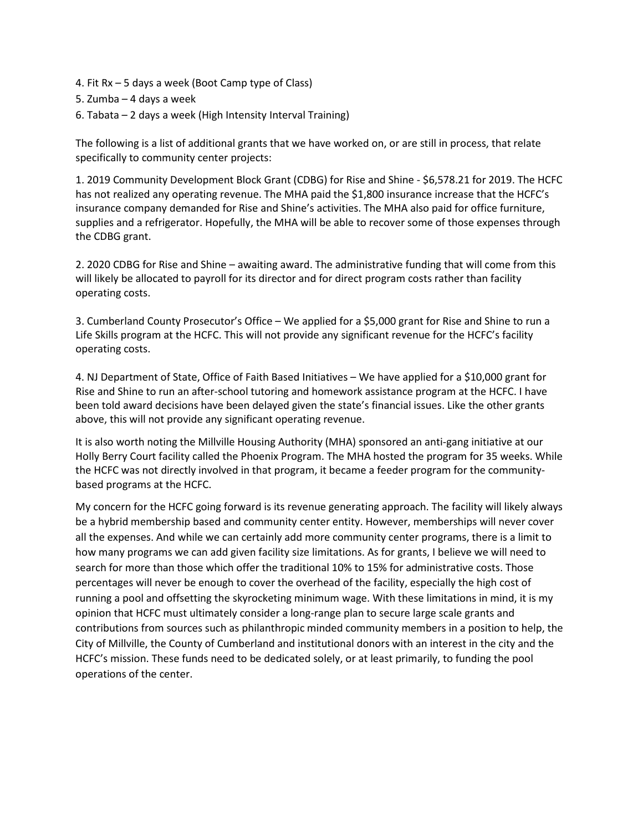- 4. Fit Rx 5 days a week (Boot Camp type of Class)
- 5. Zumba 4 days a week
- 6. Tabata 2 days a week (High Intensity Interval Training)

The following is a list of additional grants that we have worked on, or are still in process, that relate specifically to community center projects:

1. 2019 Community Development Block Grant (CDBG) for Rise and Shine - \$6,578.21 for 2019. The HCFC has not realized any operating revenue. The MHA paid the \$1,800 insurance increase that the HCFC's insurance company demanded for Rise and Shine's activities. The MHA also paid for office furniture, supplies and a refrigerator. Hopefully, the MHA will be able to recover some of those expenses through the CDBG grant.

2. 2020 CDBG for Rise and Shine – awaiting award. The administrative funding that will come from this will likely be allocated to payroll for its director and for direct program costs rather than facility operating costs.

3. Cumberland County Prosecutor's Office – We applied for a \$5,000 grant for Rise and Shine to run a Life Skills program at the HCFC. This will not provide any significant revenue for the HCFC's facility operating costs.

4. NJ Department of State, Office of Faith Based Initiatives – We have applied for a \$10,000 grant for Rise and Shine to run an after-school tutoring and homework assistance program at the HCFC. I have been told award decisions have been delayed given the state's financial issues. Like the other grants above, this will not provide any significant operating revenue.

It is also worth noting the Millville Housing Authority (MHA) sponsored an anti-gang initiative at our Holly Berry Court facility called the Phoenix Program. The MHA hosted the program for 35 weeks. While the HCFC was not directly involved in that program, it became a feeder program for the communitybased programs at the HCFC.

My concern for the HCFC going forward is its revenue generating approach. The facility will likely always be a hybrid membership based and community center entity. However, memberships will never cover all the expenses. And while we can certainly add more community center programs, there is a limit to how many programs we can add given facility size limitations. As for grants, I believe we will need to search for more than those which offer the traditional 10% to 15% for administrative costs. Those percentages will never be enough to cover the overhead of the facility, especially the high cost of running a pool and offsetting the skyrocketing minimum wage. With these limitations in mind, it is my opinion that HCFC must ultimately consider a long-range plan to secure large scale grants and contributions from sources such as philanthropic minded community members in a position to help, the City of Millville, the County of Cumberland and institutional donors with an interest in the city and the HCFC's mission. These funds need to be dedicated solely, or at least primarily, to funding the pool operations of the center.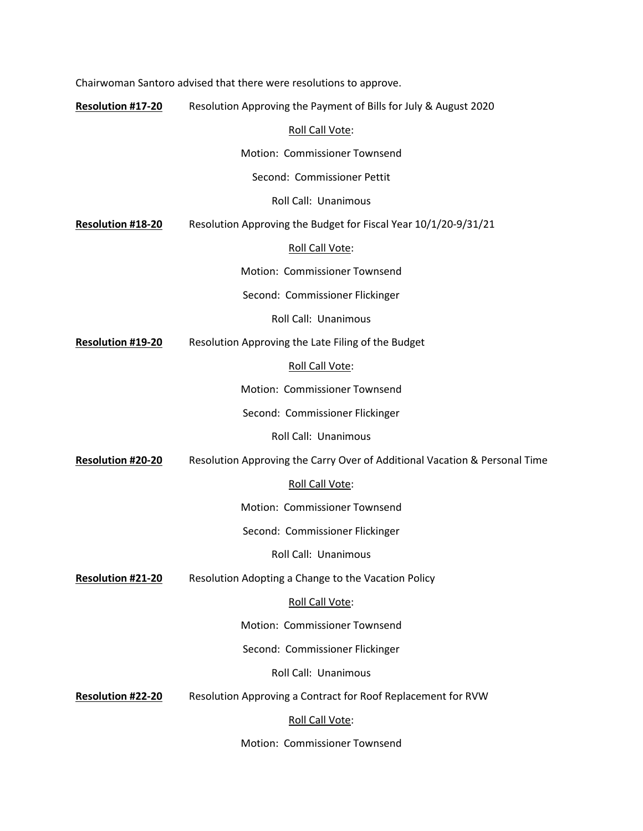|                          | Chairwoman Santoro advised that there were resolutions to approve.         |
|--------------------------|----------------------------------------------------------------------------|
| <b>Resolution #17-20</b> | Resolution Approving the Payment of Bills for July & August 2020           |
|                          | Roll Call Vote:                                                            |
|                          | Motion: Commissioner Townsend                                              |
|                          | Second: Commissioner Pettit                                                |
|                          | Roll Call: Unanimous                                                       |
| Resolution #18-20        | Resolution Approving the Budget for Fiscal Year 10/1/20-9/31/21            |
|                          | Roll Call Vote:                                                            |
|                          | Motion: Commissioner Townsend                                              |
|                          | Second: Commissioner Flickinger                                            |
|                          | Roll Call: Unanimous                                                       |
| Resolution #19-20        | Resolution Approving the Late Filing of the Budget                         |
|                          | Roll Call Vote:                                                            |
|                          | Motion: Commissioner Townsend                                              |
|                          | Second: Commissioner Flickinger                                            |
|                          | Roll Call: Unanimous                                                       |
| Resolution #20-20        | Resolution Approving the Carry Over of Additional Vacation & Personal Time |
|                          | Roll Call Vote:                                                            |
|                          | Motion: Commissioner Townsend                                              |
|                          | Second: Commissioner Flickinger                                            |
|                          | Roll Call: Unanimous                                                       |
| <b>Resolution #21-20</b> | Resolution Adopting a Change to the Vacation Policy                        |
|                          | Roll Call Vote:                                                            |
|                          | Motion: Commissioner Townsend                                              |
|                          | Second: Commissioner Flickinger                                            |
|                          | Roll Call: Unanimous                                                       |
| Resolution #22-20        | Resolution Approving a Contract for Roof Replacement for RVW               |
|                          | Roll Call Vote:                                                            |
|                          |                                                                            |

Motion: Commissioner Townsend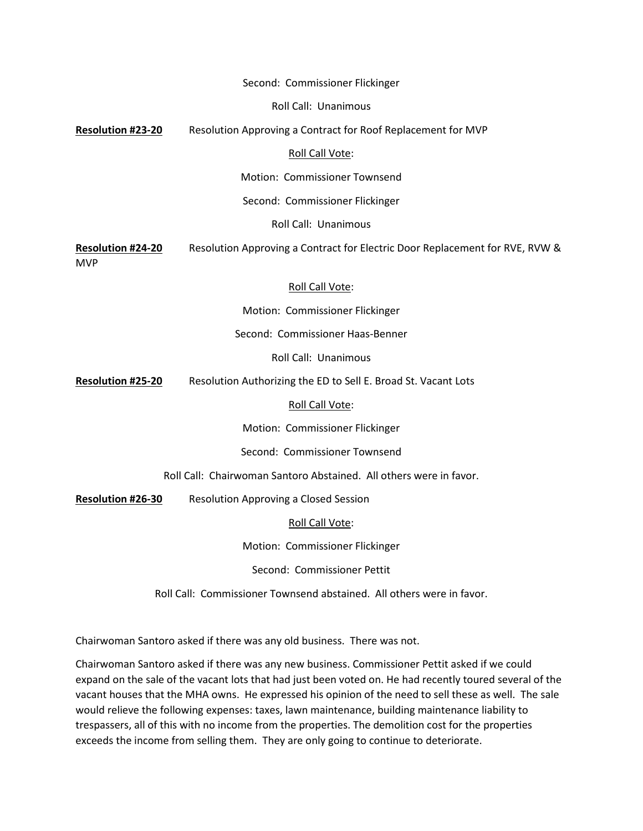|                                 | Second: Commissioner Flickinger                                              |
|---------------------------------|------------------------------------------------------------------------------|
|                                 | Roll Call: Unanimous                                                         |
| Resolution #23-20               | Resolution Approving a Contract for Roof Replacement for MVP                 |
|                                 | Roll Call Vote:                                                              |
|                                 | Motion: Commissioner Townsend                                                |
|                                 | Second: Commissioner Flickinger                                              |
|                                 | Roll Call: Unanimous                                                         |
| <b>Resolution #24-20</b><br>MVP | Resolution Approving a Contract for Electric Door Replacement for RVE, RVW & |
|                                 | Roll Call Vote:                                                              |
|                                 | Motion: Commissioner Flickinger                                              |
|                                 | Second: Commissioner Haas-Benner                                             |
|                                 | <b>Roll Call: Unanimous</b>                                                  |
| <b>Resolution #25-20</b>        | Resolution Authorizing the ED to Sell E. Broad St. Vacant Lots               |
|                                 | Roll Call Vote:                                                              |
|                                 | Motion: Commissioner Flickinger                                              |
|                                 | Second: Commissioner Townsend                                                |
|                                 | Roll Call: Chairwoman Santoro Abstained. All others were in favor.           |
| Resolution #26-30               | Resolution Approving a Closed Session                                        |
|                                 | Roll Call Vote:                                                              |
|                                 | Motion: Commissioner Flickinger                                              |
|                                 | Second: Commissioner Pettit                                                  |
|                                 | Roll Call: Commissioner Townsend abstained. All others were in favor.        |

Chairwoman Santoro asked if there was any old business. There was not.

Chairwoman Santoro asked if there was any new business. Commissioner Pettit asked if we could expand on the sale of the vacant lots that had just been voted on. He had recently toured several of the vacant houses that the MHA owns. He expressed his opinion of the need to sell these as well. The sale would relieve the following expenses: taxes, lawn maintenance, building maintenance liability to trespassers, all of this with no income from the properties. The demolition cost for the properties exceeds the income from selling them. They are only going to continue to deteriorate.